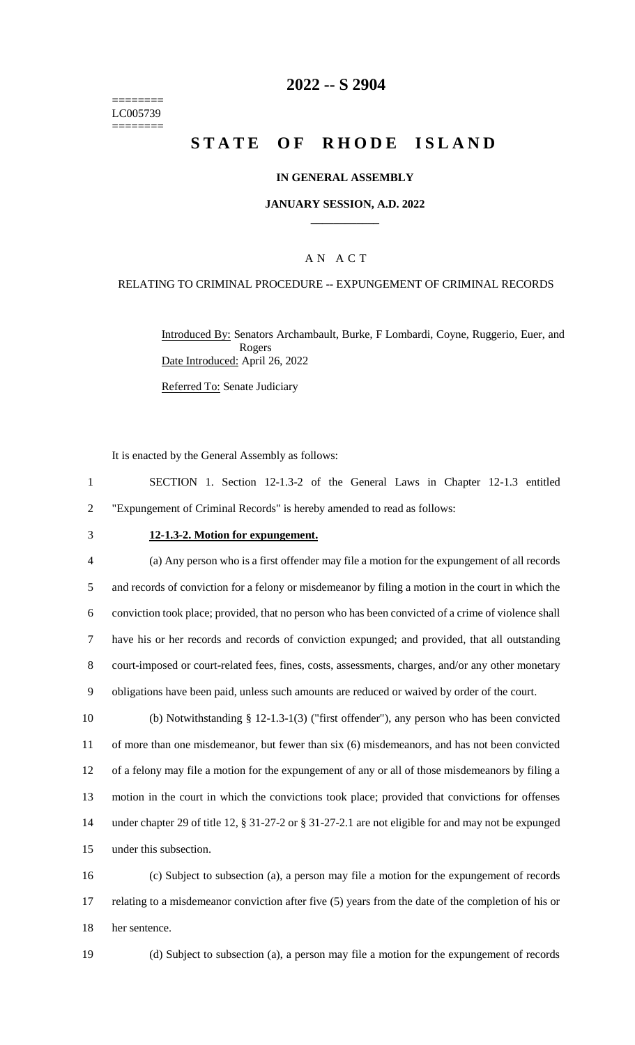======== LC005739 ========

## **2022 -- S 2904**

# **STATE OF RHODE ISLAND**

### **IN GENERAL ASSEMBLY**

#### **JANUARY SESSION, A.D. 2022 \_\_\_\_\_\_\_\_\_\_\_\_**

## A N A C T

### RELATING TO CRIMINAL PROCEDURE -- EXPUNGEMENT OF CRIMINAL RECORDS

Introduced By: Senators Archambault, Burke, F Lombardi, Coyne, Ruggerio, Euer, and Rogers Date Introduced: April 26, 2022

Referred To: Senate Judiciary

It is enacted by the General Assembly as follows:

| SECTION 1. Section 12-1.3-2 of the General Laws in Chapter 12-1.3 entitled |  |  |  |  |  |  |  |  |  |  |  |
|----------------------------------------------------------------------------|--|--|--|--|--|--|--|--|--|--|--|
| "Expungement of Criminal Records" is hereby amended to read as follows:    |  |  |  |  |  |  |  |  |  |  |  |

#### 3 **12-1.3-2. Motion for expungement.**

 (a) Any person who is a first offender may file a motion for the expungement of all records and records of conviction for a felony or misdemeanor by filing a motion in the court in which the conviction took place; provided, that no person who has been convicted of a crime of violence shall have his or her records and records of conviction expunged; and provided, that all outstanding court-imposed or court-related fees, fines, costs, assessments, charges, and/or any other monetary obligations have been paid, unless such amounts are reduced or waived by order of the court.

 (b) Notwithstanding § 12-1.3-1(3) ("first offender"), any person who has been convicted of more than one misdemeanor, but fewer than six (6) misdemeanors, and has not been convicted of a felony may file a motion for the expungement of any or all of those misdemeanors by filing a motion in the court in which the convictions took place; provided that convictions for offenses under chapter 29 of title 12, § 31-27-2 or § 31-27-2.1 are not eligible for and may not be expunged under this subsection.

16 (c) Subject to subsection (a), a person may file a motion for the expungement of records 17 relating to a misdemeanor conviction after five (5) years from the date of the completion of his or 18 her sentence.

19 (d) Subject to subsection (a), a person may file a motion for the expungement of records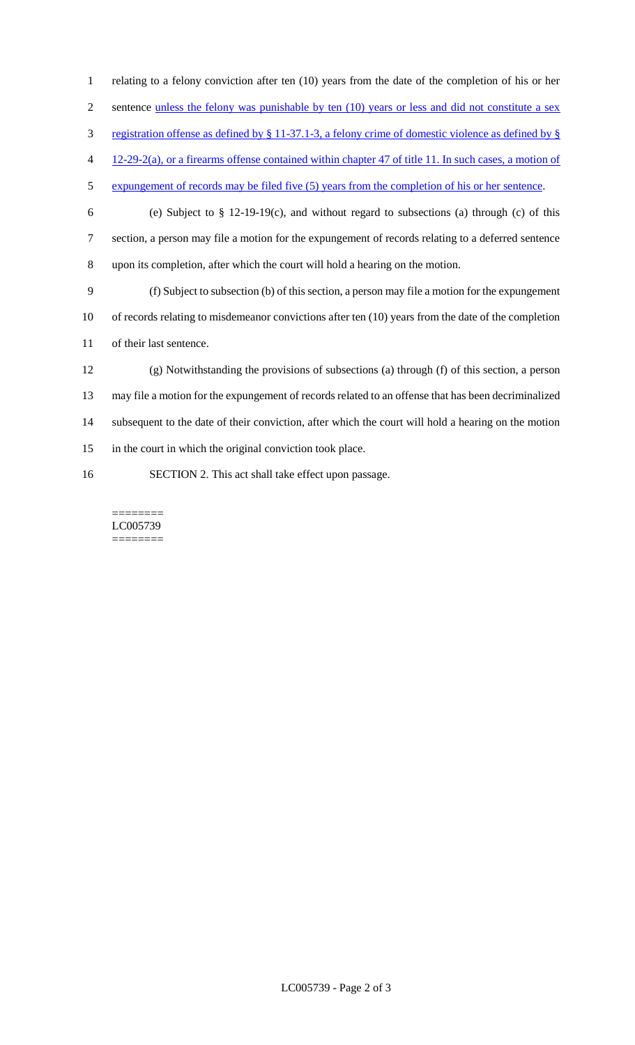- relating to a felony conviction after ten (10) years from the date of the completion of his or her 2 sentence unless the felony was punishable by ten (10) years or less and did not constitute a sex registration offense as defined by § 11-37.1-3, a felony crime of domestic violence as defined by § 12-29-2(a), or a firearms offense contained within chapter 47 of title 11. In such cases, a motion of expungement of records may be filed five (5) years from the completion of his or her sentence. (e) Subject to § 12-19-19(c), and without regard to subsections (a) through (c) of this section, a person may file a motion for the expungement of records relating to a deferred sentence upon its completion, after which the court will hold a hearing on the motion. (f) Subject to subsection (b) of this section, a person may file a motion for the expungement of records relating to misdemeanor convictions after ten (10) years from the date of the completion of their last sentence. (g) Notwithstanding the provisions of subsections (a) through (f) of this section, a person may file a motion for the expungement of records related to an offense that has been decriminalized subsequent to the date of their conviction, after which the court will hold a hearing on the motion in the court in which the original conviction took place.
- SECTION 2. This act shall take effect upon passage.

======== LC005739 ========